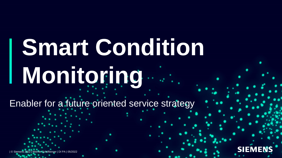# **Smart Condition Monitoring**

Enabler for a future oriented service strategy

| © Siemens 2022 | Werner Schöfberger | DI PA | 05/2022

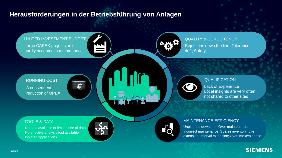## **Herausforderungen in der Betriebsführung von Anlagen**

LIMITED INVESTMENT BUDGET

Large CAPEX projects are hardly accepted in maintenance



QUALITY & CONSISTENCY Rejections down the line; Tolerance drift; Safety;

 $\begin{pmatrix} 1 \\ 1 \end{pmatrix}$ 

## A consequent reduction of OPEX RUNNING COST

### **QUALIFICATION**

Lack of Experience Local insights are very often not shared to other sites

### TOOLS & DATA

No data available or limited use of data No effective analysis tool available Isolated applications





### MAINTENANCE EFFICIENCY

Unplanned downtime; Over-maintenance; Incorrect maintenance; Spares inventory; Life extension; Interval extension; Overtime avoidance

## **SIEMENS**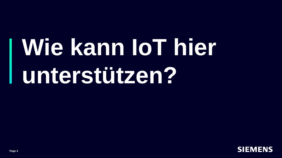## **Wie kann IoT hier unterstützen?**

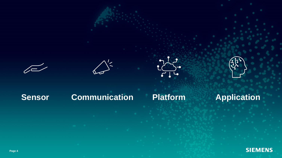





## **Sensor Communication Platform Application**

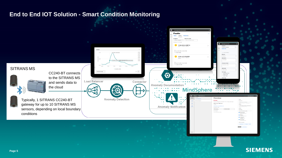## **End to End IOT Solution - Smart Condition Monitoring**



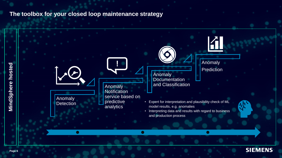## **The toolbox for your closed loop maintenance strategy**



**SIEMENS**